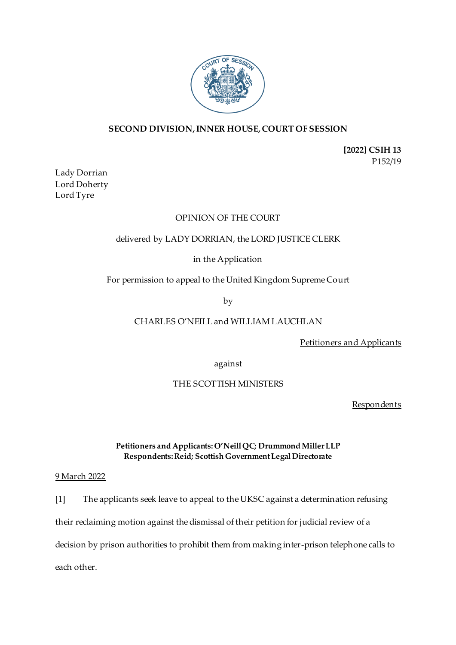

# **SECOND DIVISION, INNER HOUSE, COURT OF SESSION**

**[2022] CSIH 13** P152/19

Lady Dorrian Lord Doherty Lord Tyre

## OPINION OF THE COURT

## delivered by LADY DORRIAN, the LORD JUSTICE CLERK

# in the Application

For permission to appeal to the United Kingdom Supreme Court

by

# CHARLES O'NEILL and WILLIAM LAUCHLAN

Petitioners and Applicants

against

#### THE SCOTTISH MINISTERS

**Respondents** 

#### **Petitioners and Applicants:O'Neill QC; Drummond Miller LLP Respondents:Reid; Scottish Government Legal Directorate**

#### 9 March 2022

[1] The applicants seek leave to appeal to the UKSC against a determination refusing their reclaiming motion against the dismissal of their petition for judicial review of a

decision by prison authorities to prohibit them from making inter-prison telephone calls to

each other.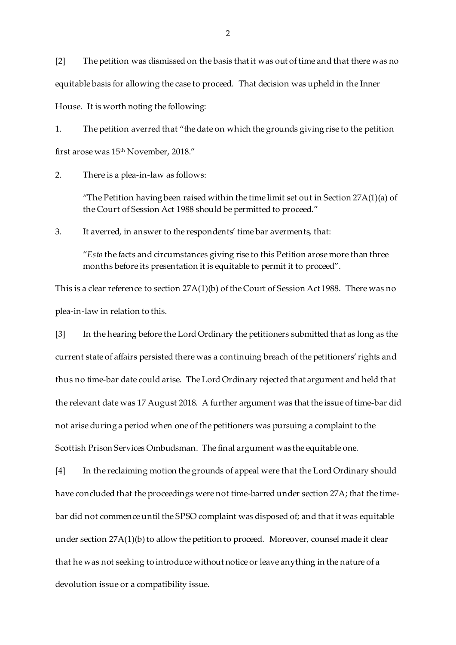[2] The petition was dismissed on the basis that it was out of time and that there was no equitable basis for allowing the case to proceed. That decision was upheld in the Inner House. It is worth noting the following:

1. The petition averred that "the date on which the grounds giving rise to the petition first arose was 15th November, 2018."

2. There is a plea-in-law as follows:

"The Petition having been raised within the time limit set out in Section  $27A(1)(a)$  of the Court of Session Act 1988 should be permitted to proceed."

3. It averred, in answer to the respondents' time bar averments, that:

"*Esto* the facts and circumstances giving rise to this Petition arose more than three months before its presentation it is equitable to permit it to proceed".

This is a clear reference to section 27A(1)(b) of the Court of Session Act 1988. There was no plea-in-law in relation to this.

[3] In the hearing before the Lord Ordinary the petitioners submitted that as long as the current state of affairs persisted there was a continuing breach of the petitioners' rights and thus no time-bar date could arise. The Lord Ordinary rejected that argument and held that the relevant date was 17 August 2018. A further argument was that the issue of time-bar did not arise during a period when one of the petitioners was pursuing a complaint to the Scottish Prison Services Ombudsman. The final argument was the equitable one.

[4] In the reclaiming motion the grounds of appeal were that the Lord Ordinary should have concluded that the proceedings were not time-barred under section 27A; that the timebar did not commence until the SPSO complaint was disposed of; and that it was equitable under section 27A(1)(b) to allow the petition to proceed. Moreover, counsel made it clear that he was not seeking to introduce without notice or leave anything in the nature of a devolution issue or a compatibility issue.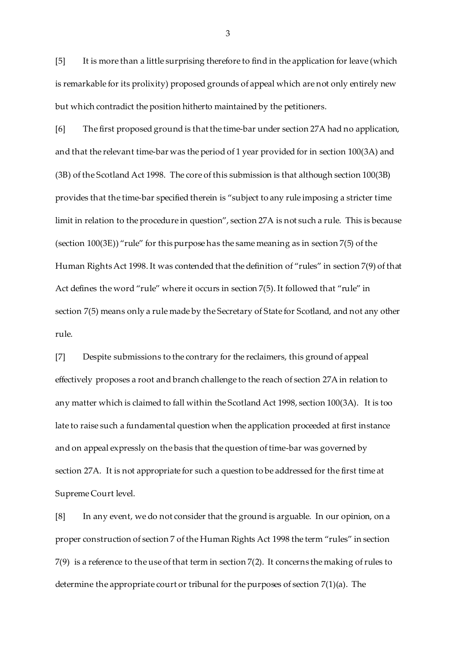[5] It is more than a little surprising therefore to find in the application for leave (which is remarkable for its prolixity) proposed grounds of appeal which are not only entirely new but which contradict the position hitherto maintained by the petitioners.

[6] The first proposed ground is that the time-bar under section 27A had no application, and that the relevant time-bar was the period of 1 year provided for in section 100(3A) and (3B) of the Scotland Act 1998. The core of this submission is that although section 100(3B) provides that the time-bar specified therein is "subject to any rule imposing a stricter time limit in relation to the procedure in question", section 27A is not such a rule. This is because (section 100(3E)) "rule" for this purpose has the same meaning as in section 7(5) of the Human Rights Act 1998. It was contended that the definition of "rules" in section 7(9) of that Act defines the word "rule" where it occurs in section 7(5). It followed that "rule" in section 7(5) means only a rule made by the Secretary of State for Scotland, and not any other rule.

[7] Despite submissions to the contrary for the reclaimers, this ground of appeal effectively proposes a root and branch challenge to the reach of section 27A in relation to any matter which is claimed to fall within the Scotland Act 1998, section 100(3A). It is too late to raise such a fundamental question when the application proceeded at first instance and on appeal expressly on the basis that the question of time-bar was governed by section 27A. It is not appropriate for such a question to be addressed for the first time at Supreme Court level.

[8] In any event, we do not consider that the ground is arguable. In our opinion, on a proper construction of section 7 of the Human Rights Act 1998 the term "rules" in section 7(9) is a reference to the use of that term in section 7(2). It concerns the making of rules to determine the appropriate court or tribunal for the purposes of section 7(1)(a). The

3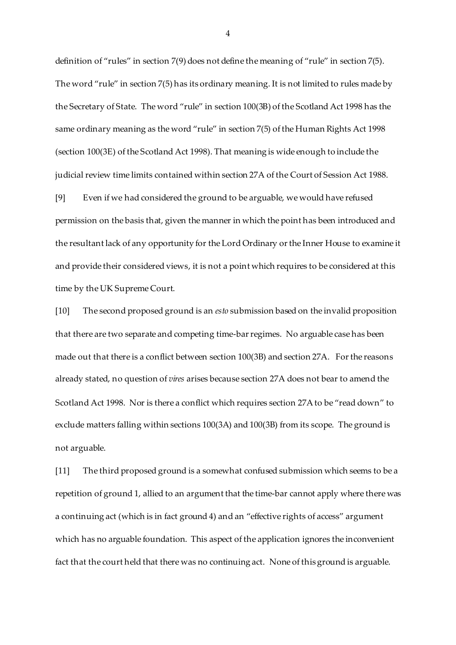definition of "rules" in section 7(9) does not define the meaning of "rule" in section 7(5). The word "rule" in section 7(5) has its ordinary meaning. It is not limited to rules made by the Secretary of State. The word "rule" in section 100(3B) of the Scotland Act 1998 has the same ordinary meaning as the word "rule" in section 7(5) of the Human Rights Act 1998 (section 100(3E) of the Scotland Act 1998). That meaning is wide enough to include the judicial review time limits contained within section 27A of the Court of Session Act 1988.

[9] Even if we had considered the ground to be arguable, we would have refused permission on the basis that, given the manner in which the point has been introduced and the resultant lack of any opportunity for the Lord Ordinary or the Inner House to examine it and provide their considered views, it is not a point which requires to be considered at this time by the UK Supreme Court.

[10] The second proposed ground is an *esto* submission based on the invalid proposition that there are two separate and competing time-bar regimes. No arguable case has been made out that there is a conflict between section 100(3B) and section 27A. For the reasons already stated, no question of *vires* arises because section 27A does not bear to amend the Scotland Act 1998. Nor is there a conflict which requires section 27A to be "read down" to exclude matters falling within sections 100(3A) and 100(3B) from its scope. The ground is not arguable.

[11] The third proposed ground is a somewhat confused submission which seems to be a repetition of ground 1, allied to an argument that the time-bar cannot apply where there was a continuing act (which is in fact ground 4) and an "effective rights of access" argument which has no arguable foundation. This aspect of the application ignores the inconvenient fact that the court held that there was no continuing act. None of this ground is arguable.

4